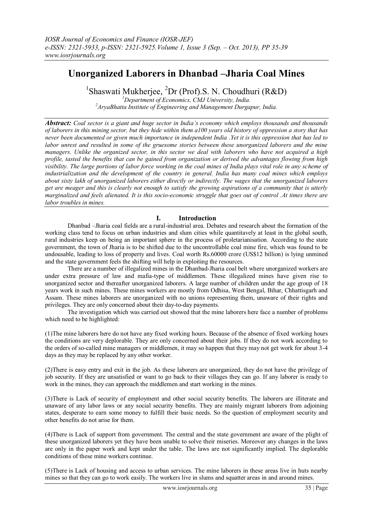# **Unorganized Laborers in Dhanbad –Jharia Coal Mines**

<sup>1</sup>Shaswati Mukherjee, <sup>2</sup>Dr (Prof).S. N. Choudhuri (R&D)

*<sup>1</sup>Department of Economics, CMJ University, India. <sup>2</sup>AryaBhatta Institute of Engineering and Management Durgapur, India.*

*Abstract: Coal sector is a giant and huge sector in India's economy which employs thousands and thousands of laborers in this mining sector, but they hide within them a100 years old history of oppression a story that has never been documented or given much importance in independent India .Yet it is this oppression that has led to labor unrest and resulted in some of the gruesome stories between these unorganized laborers and the mine managers. Unlike the organized sector, in this sector we deal with laborers who have not acquired a high profile, tasted the benefits that can be gained from organization or derived the advantages flowing from high visibility. The large portions of labor force working in the coal mines of India plays vital role in any scheme of industrialization and the development of the country in general. India has many coal mines which employs about sixty lakh of unorganized laborers either directly or indirectly. The wages that the unorganized laborers get are meager and this is clearly not enough to satisfy the growing aspirations of a community that is utterly marginalized and feels alienated. It is this socio-economic struggle that goes out of control .At times there are labor troubles in mines.*

## **I. Introduction**

Dhanbad –Jharia coal fields are a rural-industrial area. Debates and research about the formation of the working class tend to focus on urban industries and slum cities while quantitavely at least in the global south, rural industries keep on being an important sphere in the process of proletarianisation. According to the state government, the town of Jharia is to be shifted due to the uncontrollable coal mine fire, which was found to be undousable, leading to loss of property and lives. Coal worth Rs.60000 crore (US\$12 billion) is lying unmined and the state government feels the shifting will help in exploiting the resources.

There are a number of illegalized mines in the Dhanbad-Jharia coal belt where unorganized workers are under extra pressure of law and mafia-type of middlemen. These illegalized mines have given rise to unorganized sector and thereafter unorganized laborers. A large number of children under the age group of 18 years work in such mines. These mines workers are mostly from Odhisa, West Bengal, Bihar, Chhattisgarh and Assam. These mines laborers are unorganized with no unions representing them, unaware of their rights and privileges. They are only concerned about their day-to-day payments.

The investigation which was carried out showed that the mine laborers here face a number of problems which need to be highlighted:

(1)The mine laborers here do not have any fixed working hours. Because of the absence of fixed working hours the conditions are very deplorable. They are only concerned about their jobs. If they do not work according to the orders of so-called mine managers or middlemen, it may so happen that they may not get work for about 3-4 days as they may be replaced by any other worker.

(2)There is easy entry and exit in the job. As these laborers are unorganized, they do not have the privilege of job security. If they are unsatisfied or want to go back to their villages they can go. If any laborer is ready to work in the mines, they can approach the middlemen and start working in the mines.

(3)There is Lack of security of employment and other social security benefits. The laborers are illiterate and unaware of any labor laws or any social security benefits. They are mainly migrant laborers from adjoining states, desperate to earn some money to fulfill their basic needs. So the question of employment security and other benefits do not arise for them.

(4)There is Lack of support from government. The central and the state government are aware of the plight of these unorganized laborers yet they have been unable to solve their miseries. Moreover any changes in the laws are only in the paper work and kept under the table. The laws are not significantly implied. The deplorable conditions of these mine workers continue.

(5)There is Lack of housing and access to urban services. The mine laborers in these areas live in huts nearby mines so that they can go to work easily. The workers live in slums and squatter areas in and around mines.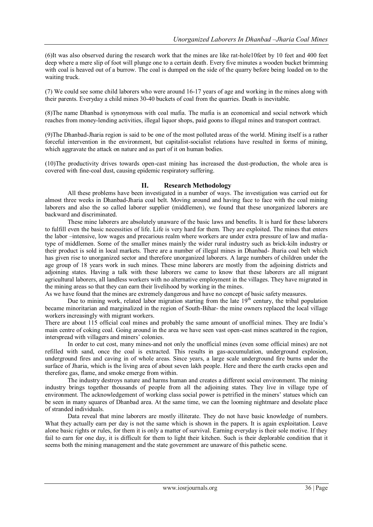(6)It was also observed during the research work that the mines are like rat-hole10feet by 10 feet and 400 feet deep where a mere slip of foot will plunge one to a certain death. Every five minutes a wooden bucket brimming with coal is heaved out of a burrow. The coal is dumped on the side of the quarry before being loaded on to the waiting truck.

(7) We could see some child laborers who were around 16-17 years of age and working in the mines along with their parents. Everyday a child mines 30-40 buckets of coal from the quarries. Death is inevitable.

(8)The name Dhanbad is synonymous with coal mafia. The mafia is an economical and social network which reaches from money-lending activities, illegal liquor shops, paid goons to illegal mines and transport contract.

(9)The Dhanbad-Jharia region is said to be one of the most polluted areas of the world. Mining itself is a rather forceful intervention in the environment, but capitalist-socialist relations have resulted in forms of mining, which aggravate the attack on nature and as part of it on human bodies.

(10)The productivity drives towards open-cast mining has increased the dust-production, the whole area is covered with fine-coal dust, causing epidemic respiratory suffering.

#### **II. Research Methodology**

All these problems have been investigated in a number of ways. The investigation was carried out for almost three weeks in Dhanbad-Jharia coal belt. Moving around and having face to face with the coal mining laborers and also the so called laborer supplier (middlemen), we found that these unorganized laborers are backward and discriminated.

These mine laborers are absolutely unaware of the basic laws and benefits. It is hard for these laborers to fulfill even the basic necessities of life. Life is very hard for them. They are exploited. The mines that enters the labor –intensive, low wages and precarious realm where workers are under extra pressure of law and mafiatype of middlemen. Some of the smaller mines mainly the wider rural industry such as brick-kiln industry or their product is sold in local markets. There are a number of illegal mines in Dhanbad- Jharia coal belt which has given rise to unorganized sector and therefore unorganized laborers. A large numbers of children under the age group of 18 years work in such mines. These mine laborers are mostly from the adjoining districts and adjoining states. Having a talk with these laborers we came to know that these laborers are all migrant agricultural laborers, all landless workers with no alternative employment in the villages. They have migrated in the mining areas so that they can earn their livelihood by working in the mines.

As we have found that the mines are extremely dangerous and have no concept of basic safety measures.

Due to mining work, related labor migration starting from the late  $19<sup>th</sup>$  century, the tribal population became minoritarian and marginalized in the region of South-Bihar- the mine owners replaced the local village workers increasingly with migrant workers.

There are about 115 official coal mines and probably the same amount of unofficial mines. They are India's main centre of coking coal. Going around in the area we have seen vast open-cast mines scattered in the region, interspread with villagers and miners' colonies.

In order to cut cost, many mines-and not only the unofficial mines (even some official mines) are not refilled with sand, once the coal is extracted. This results in gas-accumulation, underground explosion, underground fires and caving in of whole areas. Since years, a large scale underground fire burns under the surface of Jharia, which is the living area of about seven lakh people. Here and there the earth cracks open and therefore gas, flame, and smoke emerge from within.

The industry destroys nature and harms human and creates a different social environment. The mining industry brings together thousands of people from all the adjoining states. They live in village type of environment. The acknowledgement of working class social power is petrified in the miners' statues which can be seen in many squares of Dhanbad area. At the same time, we can the looming nightmare and desolate place of stranded individuals.

Data reveal that mine laborers are mostly illiterate. They do not have basic knowledge of numbers. What they actually earn per day is not the same which is shown in the papers. It is again exploitation. Leave alone basic rights or rules, for them it is only a matter of survival. Earning everyday is their sole motive. If they fail to earn for one day, it is difficult for them to light their kitchen. Such is their deplorable condition that it seems both the mining management and the state government are unaware of this pathetic scene.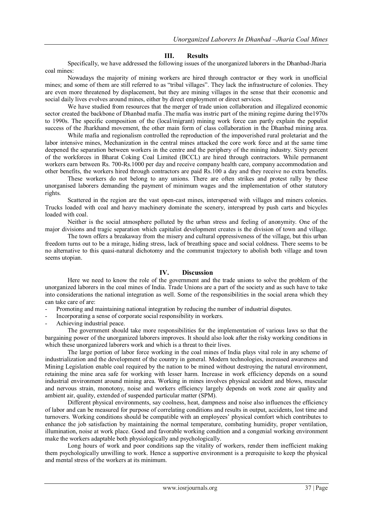## **III. Results**

Specifically, we have addressed the following issues of the unorganized laborers in the Dhanbad-Jharia coal mines:

Nowadays the majority of mining workers are hired through contractor or they work in unofficial mines; and some of them are still referred to as "tribal villages". They lack the infrastructure of colonies. They are even more threatened by displacement, but they are mining villages in the sense that their economic and social daily lives evolves around mines, either by direct employment or direct services.

We have studied from resources that the merger of trade union collaboration and illegalized economic sector created the backbone of Dhanbad mafia .The mafia was instric part of the mining regime during the1970s to 1990s. The specific composition of the (local/migrant) mining work force can partly explain the populist success of the Jharkhand movement, the other main form of class collaboration in the Dhanbad mining area.

While mafia and regionalism controlled the reproduction of the impoverished rural proletariat and the labor intensive mines, Mechanization in the central mines attacked the core work force and at the same time deepened the separation between workers in the centre and the periphery of the mining industry. Sixty percent of the workforces in Bharat Coking Coal Limited (BCCL) are hired through contractors. While permanent workers earn between Rs. 700-Rs.1000 per day and receive company health care, company accommodation and other benefits, the workers hired through contractors are paid Rs.100 a day and they receive no extra benefits.

These workers do not belong to any unions. There are often strikes and protest rally by these unorganised laborers demanding the payment of minimum wages and the implementation of other statutory rights.

Scattered in the region are the vast open-cast mines, interspersed with villages and miners colonies. Trucks loaded with coal and heavy machinery dominate the scenery, interspread by push carts and bicycles loaded with coal.

Neither is the social atmosphere polluted by the urban stress and feeling of anonymity. One of the major divisions and tragic separation which capitalist development creates is the division of town and village.

The town offers a breakaway from the misery and cultural oppressiveness of the village, but this urban freedom turns out to be a mirage, hiding stress, lack of breathing space and social coldness. There seems to be no alternative to this quasi-natural dichotomy and the communist trajectory to abolish both village and town seems utopian.

#### **IV. Discussion**

Here we need to know the role of the government and the trade unions to solve the problem of the unorganized laborers in the coal mines of India. Trade Unions are a part of the society and as such have to take into considerations the national integration as well. Some of the responsibilities in the social arena which they can take care of are:

- Promoting and maintaining national integration by reducing the number of industrial disputes.
- Incorporating a sense of corporate social responsibility in workers.
- Achieving industrial peace.

The government should take more responsibilities for the implementation of various laws so that the bargaining power of the unorganized laborers improves. It should also look after the risky working conditions in which these unorganized laborers work and which is a threat to their lives.

The large portion of labor force working in the coal mines of India plays vital role in any scheme of industrialization and the development of the country in general. Modern technologies, increased awareness and Mining Legislation enable coal required by the nation to be mined without destroying the natural environment, retaining the mine area safe for working with lesser harm. Increase in work efficiency depends on a sound industrial environment around mining area. Working in mines involves physical accident and blows, muscular and nervous strain, monotony, noise and workers efficiency largely depends on work zone air quality and ambient air, quality, extended of suspended particular matter (SPM).

Different physical environments, say coolness, heat, dampness and noise also influences the efficiency of labor and can be measured for purpose of correlating conditions and results in output, accidents, lost time and turnovers. Working conditions should be compatible with an employees' physical comfort which contributes to enhance the job satisfaction by maintaining the normal temperature, combating humidity, proper ventilation, illumination, noise at work place. Good and favorable working condition and a congenial working environment make the workers adaptable both physiologically and psychologically.

Long hours of work and poor conditions sap the vitality of workers, render them inefficient making them psychologically unwilling to work. Hence a supportive environment is a prerequisite to keep the physical and mental stress of the workers at its minimum.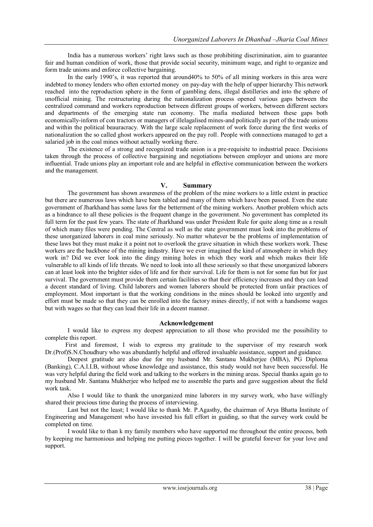India has a numerous workers' right laws such as those prohibiting discrimination, aim to guarantee fair and human condition of work, those that provide social security, minimum wage, and right to organize and form trade unions and enforce collective bargaining.

In the early 1990's, it was reported that around40% to 50% of all mining workers in this area were indebted to money lenders who often extorted money on pay-day with the help of upper hierarchy This network reached into the reproduction sphere in the form of gambling dens, illegal distilleries and into the sphere of unofficial mining. The restructuring during the nationalization process opened various gaps between the centralized command and workers reproduction between different groups of workers, between different sectors and departments of the emerging state run economy. The mafia mediated between these gaps both economically-inform of con tractors or managers of illelagalised mines-and politically as part of the trade unions and within the political beauracracy. With the large scale replacement of work force during the first weeks of nationalization the so called ghost workers appeared on the pay roll. People with connections managed to get a salaried job in the coal mines without actually working there.

The existence of a strong and recognized trade union is a pre-requisite to industrial peace. Decisions taken through the process of collective bargaining and negotiations between employer and unions are more influential. Trade unions play an important role and are helpful in effective communication between the workers and the management.

## **V. Summary**

The government has shown awareness of the problem of the mine workers to a little extent in practice but there are numerous laws which have been tabled and many of them which have been passed. Even the state government of Jharkhand has some laws for the betterment of the mining workers. Another problem which acts as a hindrance to all these policies is the frequent change in the government. No government has completed its full term for the past few years. The state of Jharkhand was under President Rule for quite along time as a result of which many files were pending. The Central as well as the state government must look into the problems of these unorganized laborers in coal mine seriously. No matter whatever be the problems of implementation of these laws but they must make it a point not to overlook the grave situation in which these workers work. These workers are the backbone of the mining industry. Have we ever imagined the kind of atmosphere in which they work in? Did we ever look into the dingy mining holes in which they work and which makes their life vulnerable to all kinds of life threats. We need to look into all these seriously so that these unorganized laborers can at least look into the brighter sides of life and for their survival. Life for them is not for some fun but for just survival. The government must provide them certain facilities so that their efficiency increases and they can lead a decent standard of living. Child laborers and women laborers should be protected from unfair practices of employment. Most important is that the working conditions in the mines should be looked into urgently and effort must be made so that they can be enrolled into the factory mines directly, if not with a handsome wages but with wages so that they can lead their life in a decent manner.

#### **Acknowledgement**

 I would like to express my deepest appreciation to all those who provided me the possibility to complete this report.

 First and foremost, I wish to express my gratitude to the supervisor of my research work Dr.(Prof)S.N.Choudhury who was abundantly helpful and offered invaluable assistance, support and guidance.

 Deepest gratitude are also due for my husband Mr. Santanu Mukherjee (MBA), PG Diploma (Banking), C.A.I.I.B, without whose knowledge and assistance, this study would not have been successful. He was very helpful during the field work and talking to the workers in the mining areas. Special thanks again go to my husband Mr. Santanu Mukherjee who helped me to assemble the parts and gave suggestion about the field work task.

Also I would like to thank the unorganized mine laborers in my survey work, who have willingly shared their precious time during the process of interviewing.

Last but not the least; I would like to thank Mr. P.Agasthy, the chairman of Arya Bhatta Institute of Engineering and Management who have invested his full effort in guiding, so that the survey work could be completed on time.

I would like to than k my family members who have supported me throughout the entire process, both by keeping me harmonious and helping me putting pieces together. I will be grateful forever for your love and support.